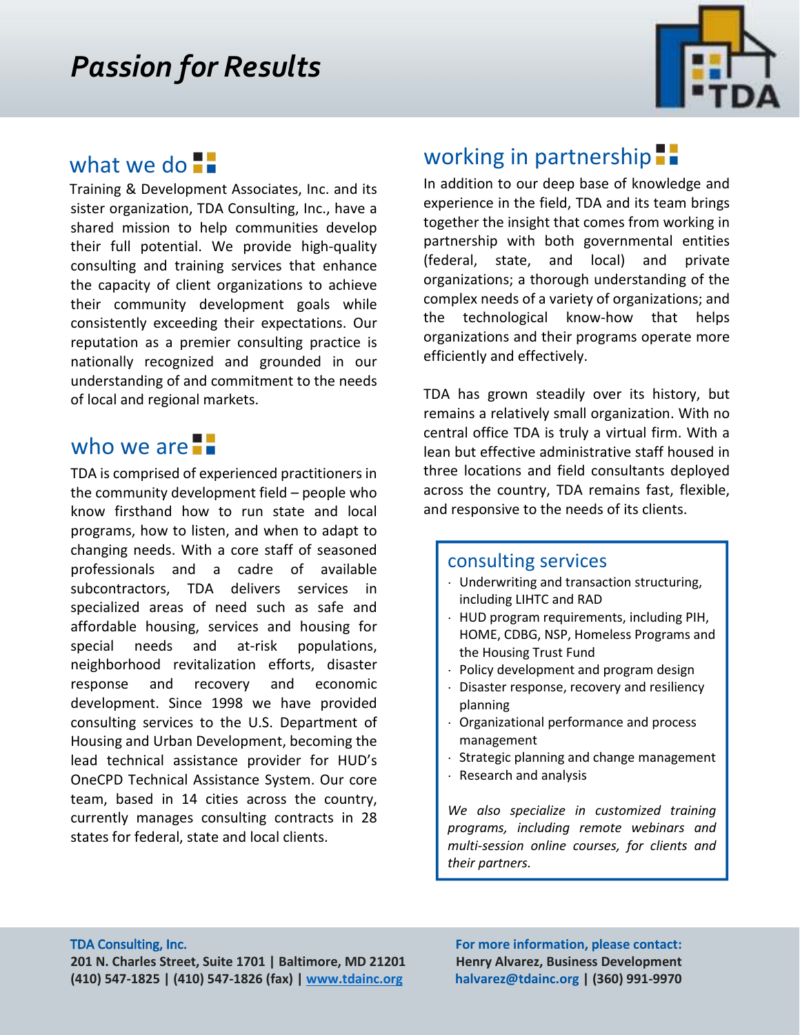

# what we do  $\blacksquare$

Training & Development Associates, Inc. and its sister organization, TDA Consulting, Inc., have a shared mission to help communities develop their full potential. We provide high‐quality consulting and training services that enhance the capacity of client organizations to achieve their community development goals while consistently exceeding their expectations. Our reputation as a premier consulting practice is nationally recognized and grounded in our understanding of and commitment to the needs of local and regional markets.

## who we are **F**

TDA is comprised of experienced practitioners in the community development field – people who know firsthand how to run state and local programs, how to listen, and when to adapt to changing needs. With a core staff of seasoned professionals and a cadre of available subcontractors, TDA delivers services in specialized areas of need such as safe and affordable housing, services and housing for special needs and at-risk populations, neighborhood revitalization efforts, disaster response and recovery and economic development. Since 1998 we have provided consulting services to the U.S. Department of Housing and Urban Development, becoming the lead technical assistance provider for HUD's OneCPD Technical Assistance System. Our core team, based in 14 cities across the country, currently manages consulting contracts in 28 states for federal, state and local clients.

### working in partnership<sup>-</sup>

In addition to our deep base of knowledge and experience in the field, TDA and its team brings together the insight that comes from working in partnership with both governmental entities (federal, state, and local) and private organizations; a thorough understanding of the complex needs of a variety of organizations; and the technological know‐how that helps organizations and their programs operate more efficiently and effectively.

TDA has grown steadily over its history, but remains a relatively small organization. With no central office TDA is truly a virtual firm. With a lean but effective administrative staff housed in three locations and field consultants deployed across the country, TDA remains fast, flexible, and responsive to the needs of its clients.

### consulting services

- · Underwriting and transaction structuring, including LIHTC and RAD
- · HUD program requirements, including PIH, HOME, CDBG, NSP, Homeless Programs and the Housing Trust Fund
- · Policy development and program design
- Disaster response, recovery and resiliency planning
- · Organizational performance and process management
- Strategic planning and change management
- · Research and analysis

*We also specialize in customized training programs, including remote webinars and multi-session online courses, for clients and their partners.* 

 **For more information, please contact: Henry Alvarez, Business Development**